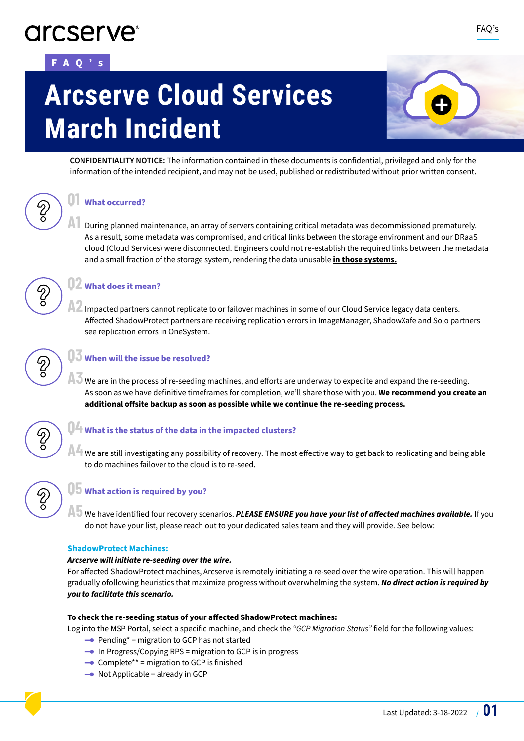# **arcserve**

# **FAQ's**

# **Arcserve Cloud Services March Incident**



**CONFIDENTIALITY NOTICE:** The information contained in these documents is confidential, privileged and only for the information of the intended recipient, and may not be used, published or redistributed without prior written consent.

# **Q1 What occurred?**

**A1** During planned maintenance, an array of servers containing critical metadata was decommissioned prematurely. As a result, some metadata was compromised, and critical links between the storage environment and our DRaaS cloud (Cloud Services) were disconnected. Engineers could not re-establish the required links between the metadata and a small fraction of the storage system, rendering the data unusable **in those systems.**

# **Q2 What does it mean?**

**A2** Impacted partners cannot replicate to or failover machines in some of our Cloud Service legacy data centers. Affected ShadowProtect partners are receiving replication errors in ImageManager, ShadowXafe and Solo partners see replication errors in OneSystem.



က<br>၁

က<br>၁

# **Q3 When will the issue be resolved?**

**A3** We are in the process of re-seeding machines, and efforts are underway to expedite and expand the re-seeding. As soon as we have definitive timeframes for completion, we'll share those with you. **We recommend you create an additional offsite backup as soon as possible while we continue the re-seeding process.**



# **Q4 What is the status of the data in the impacted clusters?**

**A4** We are still investigating any possibility of recovery. The most effective way to get back to replicating and being able to do machines failover to the cloud is to re-seed.



# **Q5 What action is required by you?**

**A5** We have identified four recovery scenarios. **PLEASE ENSURE you have your list of affected machines available.** If you do not have your list, please reach out to your dedicated sales team and they will provide. See below:

### **ShadowProtect Machines:**

### **Arcserve will initiate re-seeding over the wire.**

For affected ShadowProtect machines, Arcserve is remotely initiating a re-seed over the wire operation. This will happen gradually ofollowing heuristics that maximize progress without overwhelming the system. **No direct action is required by you to facilitate this scenario.**

# **To check the re-seeding status of your affected ShadowProtect machines:**

Log into the MSP Portal, select a specific machine, and check the *"GCP Migration Status"* field for the following values:

- $\rightarrow$  Pending\* = migration to GCP has not started
- $\rightarrow$  In Progress/Copying RPS = migration to GCP is in progress
- $\rightarrow$  Complete\*\* = migration to GCP is finished
- $\rightarrow$  Not Applicable = already in GCP